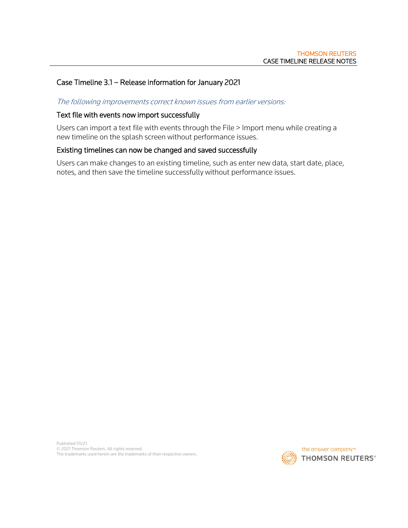# Case Timeline 3.1 – Release information for January 2021

# The following improvements correct known issues from earlier versions:

#### Text file with events now import successfully

Users can import a text file with events through the File > Import menu while creating a new timeline on the splash screen without performance issues.

#### Existing timelines can now be changed and saved successfully

Users can make changes to an existing timeline, such as enter new data, start date, place, notes, and then save the timeline successfully without performance issues.

Published 01/21. © 2021 Thomson Reuters. All rights reserved. The trademarks used herein are the trademarks of their respective owners.

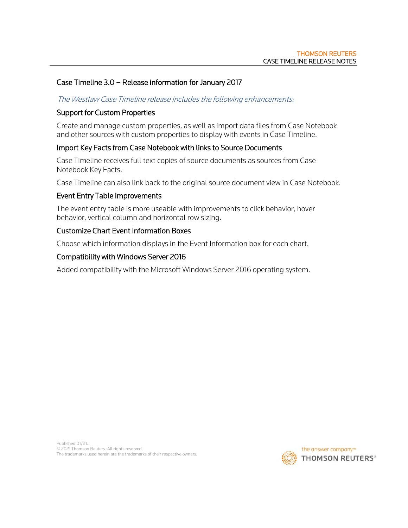# Case Timeline 3.0 – Release information for January 2017

#### The Westlaw Case Timeline release includes the following enhancements:

### Support for Custom Properties

Create and manage custom properties, as well as import data files from Case Notebook and other sources with custom properties to display with events in Case Timeline.

#### Import Key Facts from Case Notebook with links to Source Documents

Case Timeline receives full text copies of source documents as sources from Case Notebook Key Facts.

Case Timeline can also link back to the original source document view in Case Notebook.

#### Event Entry Table Improvements

The event entry table is more useable with improvements to click behavior, hover behavior, vertical column and horizontal row sizing.

#### Customize Chart Event Information Boxes

Choose which information displays in the Event Information box for each chart.

#### Compatibility with Windows Server 2016

Added compatibility with the Microsoft Windows Server 2016 operating system.

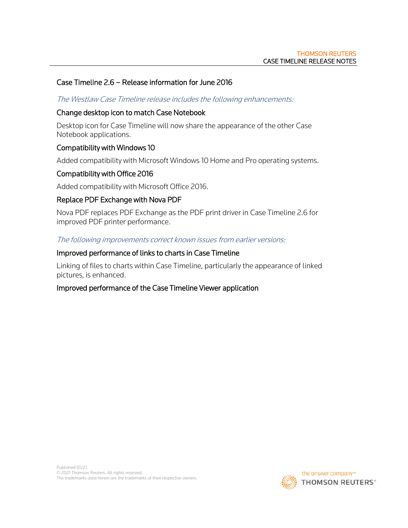# Case Timeline 2.6 – Release information for June 2016

## The Westlaw Case Timeline release includes the following enhancements:

## Change desktop icon to match Case Notebook

Desktop icon for Case Timeline will now share the appearance of the other Case Notebook applications.

# Compatibility with Windows 10

Added compatibility with Microsoft Windows 10 Home and Pro operating systems.

# Compatibility with Office 2016

Added compatibility with Microsoft Office 2016.

# Replace PDF Exchange with Nova PDF

Nova PDF replaces PDF Exchange as the PDF print driver in Case Timeline 2.6 for improved PDF printer performance.

The following improvements correct known issues from earlier versions:

## Improved performance of links to charts in Case Timeline

Linking of files to charts within Case Timeline, particularly the appearance of linked pictures, is enhanced.

## Improved performance of the Case Timeline Viewer application

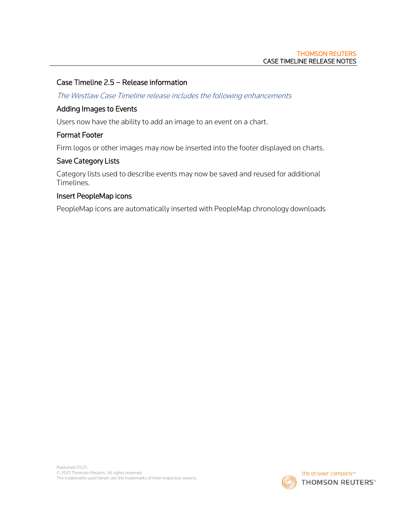# Case Timeline 2.5 – Release information

The Westlaw Case Timeline release includes the following enhancements

## Adding Images to Events

Users now have the ability to add an image to an event on a chart.

## Format Footer

Firm logos or other images may now be inserted into the footer displayed on charts.

## Save Category Lists

Category lists used to describe events may now be saved and reused for additional Timelines.

## Insert PeopleMap icons

PeopleMap icons are automatically inserted with PeopleMap chronology downloads

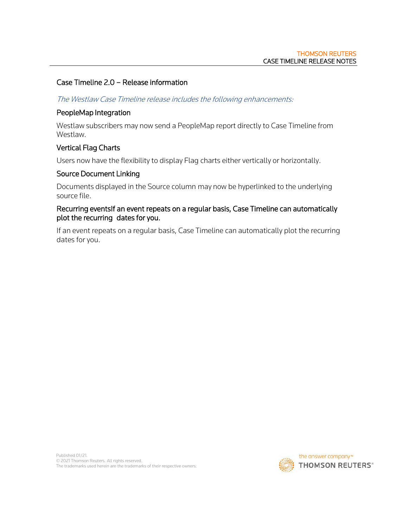# Case Timeline 2.0 – Release information

#### The Westlaw Case Timeline release includes the following enhancements:

#### PeopleMap Integration

Westlaw subscribers may now send a PeopleMap report directly to Case Timeline from Westlaw.

## Vertical Flag Charts

Users now have the flexibility to display Flag charts either vertically or horizontally.

#### Source Document Linking

Documents displayed in the Source column may now be hyperlinked to the underlying source file.

### Recurring eventsIf an event repeats on a regular basis, Case Timeline can automatically plot the recurring dates for you.

If an event repeats on a regular basis, Case Timeline can automatically plot the recurring dates for you.